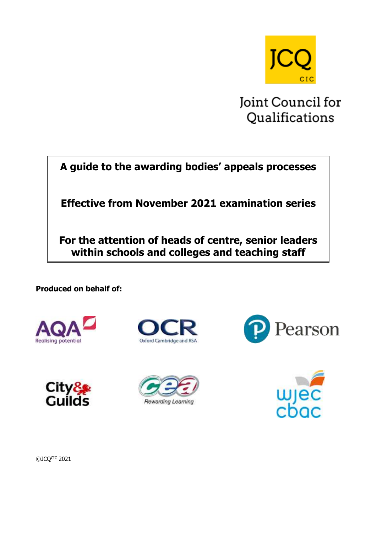

Joint Council for Qualifications

**A guide to the awarding bodies' appeals processes**

**Effective from November 2021 examination series**

**For the attention of heads of centre, senior leaders within schools and colleges and teaching staff**

**Produced on behalf of:**













©JCQCIC 2021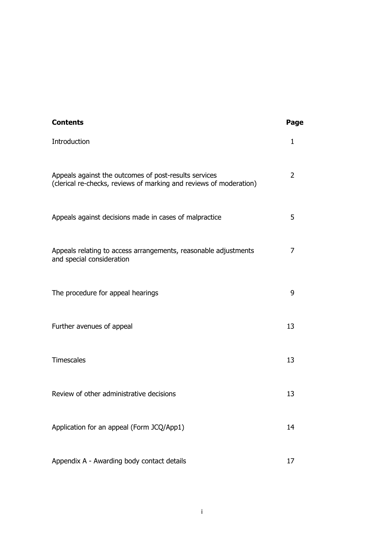| <b>Contents</b>                                                                                                             | Page         |
|-----------------------------------------------------------------------------------------------------------------------------|--------------|
| Introduction                                                                                                                | $\mathbf{1}$ |
| Appeals against the outcomes of post-results services<br>(clerical re-checks, reviews of marking and reviews of moderation) | 2            |
| Appeals against decisions made in cases of malpractice                                                                      | 5            |
| Appeals relating to access arrangements, reasonable adjustments<br>and special consideration                                | 7            |
| The procedure for appeal hearings                                                                                           | 9            |
| Further avenues of appeal                                                                                                   | 13           |
| <b>Timescales</b>                                                                                                           | 13           |
| Review of other administrative decisions                                                                                    | 13           |
| Application for an appeal (Form JCQ/App1)                                                                                   | 14           |
| Appendix A - Awarding body contact details                                                                                  | 17           |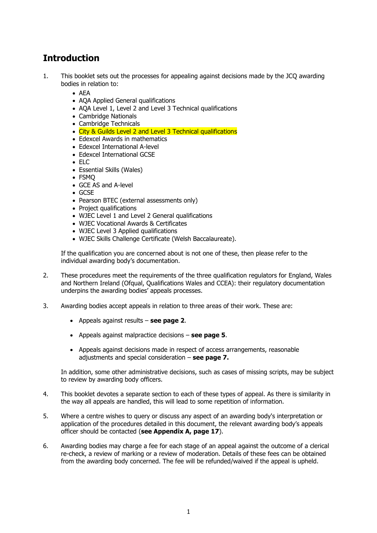# **Introduction**

- 1. This booklet sets out the processes for appealing against decisions made by the JCQ awarding bodies in relation to:
	- AEA
	- AQA Applied General qualifications
	- AOA Level 1, Level 2 and Level 3 Technical qualifications
	- Cambridge Nationals
	- Cambridge Technicals
	- City & Guilds Level 2 and Level 3 Technical qualifications
	- Edexcel Awards in mathematics
	- Edexcel International A-level
	- Edexcel International GCSE
	- $\bullet$  FLC
	- Essential Skills (Wales)
	- FSMQ
	- GCE AS and A-level
	- GCSE
	- Pearson BTEC (external assessments only)
	- Project qualifications
	- WJEC Level 1 and Level 2 General qualifications
	- WJEC Vocational Awards & Certificates
	- WJEC Level 3 Applied qualifications
	- WJEC Skills Challenge Certificate (Welsh Baccalaureate).

If the qualification you are concerned about is not one of these, then please refer to the individual awarding body's documentation.

- 2. These procedures meet the requirements of the three qualification regulators for England, Wales and Northern Ireland (Ofqual, Qualifications Wales and CCEA): their regulatory documentation underpins the awarding bodies' appeals processes.
- 3. Awarding bodies accept appeals in relation to three areas of their work. These are:
	- Appeals against results **see page 2**.
	- Appeals against malpractice decisions **see page 5**.
	- Appeals against decisions made in respect of access arrangements, reasonable adjustments and special consideration – **see page 7.**

In addition, some other administrative decisions, such as cases of missing scripts, may be subject to review by awarding body officers.

- 4. This booklet devotes a separate section to each of these types of appeal. As there is similarity in the way all appeals are handled, this will lead to some repetition of information.
- 5. Where a centre wishes to query or discuss any aspect of an awarding body's interpretation or application of the procedures detailed in this document, the relevant awarding body's appeals officer should be contacted (**see Appendix A, page 17**).
- 6. Awarding bodies may charge a fee for each stage of an appeal against the outcome of a clerical re-check, a review of marking or a review of moderation. Details of these fees can be obtained from the awarding body concerned. The fee will be refunded/waived if the appeal is upheld.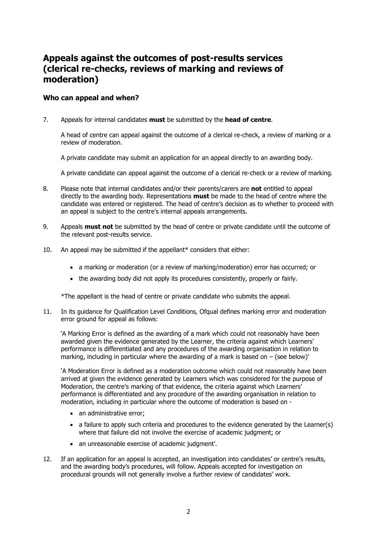# **Appeals against the outcomes of post-results services (clerical re-checks, reviews of marking and reviews of moderation)**

#### **Who can appeal and when?**

7. Appeals for internal candidates **must** be submitted by the **head of centre**.

A head of centre can appeal against the outcome of a clerical re-check, a review of marking or a review of moderation.

A private candidate may submit an application for an appeal directly to an awarding body.

A private candidate can appeal against the outcome of a clerical re-check or a review of marking.

- 8. Please note that internal candidates and/or their parents/carers are **not** entitled to appeal directly to the awarding body. Representations **must** be made to the head of centre where the candidate was entered or registered. The head of centre's decision as to whether to proceed with an appeal is subject to the centre's internal appeals arrangements.
- 9. Appeals **must not** be submitted by the head of centre or private candidate until the outcome of the relevant post-results service.
- 10. An appeal may be submitted if the appellant\* considers that either:
	- a marking or moderation (or a review of marking/moderation) error has occurred; or
	- the awarding body did not apply its procedures consistently, properly or fairly.

\*The appellant is the head of centre or private candidate who submits the appeal.

11. In its guidance for Qualification Level Conditions, Ofqual defines marking error and moderation error ground for appeal as follows:

'A Marking Error is defined as the awarding of a mark which could not reasonably have been awarded given the evidence generated by the Learner, the criteria against which Learners' performance is differentiated and any procedures of the awarding organisation in relation to marking, including in particular where the awarding of a mark is based on  $-$  (see below)'

'A Moderation Error is defined as a moderation outcome which could not reasonably have been arrived at given the evidence generated by Learners which was considered for the purpose of Moderation, the centre's marking of that evidence, the criteria against which Learners' performance is differentiated and any procedure of the awarding organisation in relation to moderation, including in particular where the outcome of moderation is based on -

- an administrative error;
- a failure to apply such criteria and procedures to the evidence generated by the Learner(s) where that failure did not involve the exercise of academic judgment; or
- an unreasonable exercise of academic judgment'.
- 12. If an application for an appeal is accepted, an investigation into candidates' or centre's results, and the awarding body's procedures, will follow. Appeals accepted for investigation on procedural grounds will not generally involve a further review of candidates' work.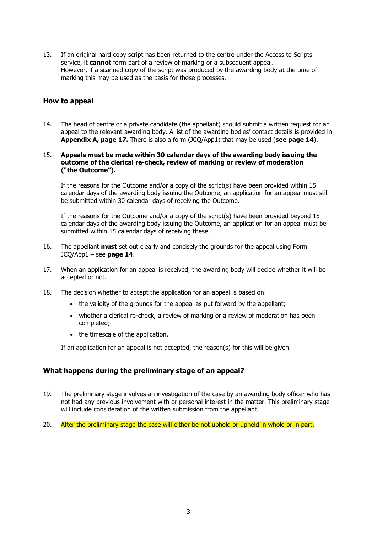13. If an original hard copy script has been returned to the centre under the Access to Scripts service, it **cannot** form part of a review of marking or a subsequent appeal. However, if a scanned copy of the script was produced by the awarding body at the time of marking this may be used as the basis for these processes.

#### **How to appeal**

14. The head of centre or a private candidate (the appellant) should submit a written request for an appeal to the relevant awarding body. A list of the awarding bodies' contact details is provided in **Appendix A, page 17.** There is also a form (JCQ/App1) that may be used (**see page 14**).

#### 15. **Appeals must be made within 30 calendar days of the awarding body issuing the outcome of the clerical re-check, review of marking or review of moderation ("the Outcome").**

If the reasons for the Outcome and/or a copy of the script(s) have been provided within 15 calendar days of the awarding body issuing the Outcome, an application for an appeal must still be submitted within 30 calendar days of receiving the Outcome.

If the reasons for the Outcome and/or a copy of the script(s) have been provided beyond 15 calendar days of the awarding body issuing the Outcome, an application for an appeal must be submitted within 15 calendar days of receiving these.

- 16. The appellant **must** set out clearly and concisely the grounds for the appeal using Form JCQ/App1 – see **page 14**.
- 17. When an application for an appeal is received, the awarding body will decide whether it will be accepted or not.
- 18. The decision whether to accept the application for an appeal is based on:
	- the validity of the grounds for the appeal as put forward by the appellant;
	- whether a clerical re-check, a review of marking or a review of moderation has been completed;
	- the timescale of the application.

If an application for an appeal is not accepted, the reason(s) for this will be given.

#### **What happens during the preliminary stage of an appeal?**

- 19. The preliminary stage involves an investigation of the case by an awarding body officer who has not had any previous involvement with or personal interest in the matter. This preliminary stage will include consideration of the written submission from the appellant.
- 20. After the preliminary stage the case will either be not upheld or upheld in whole or in part.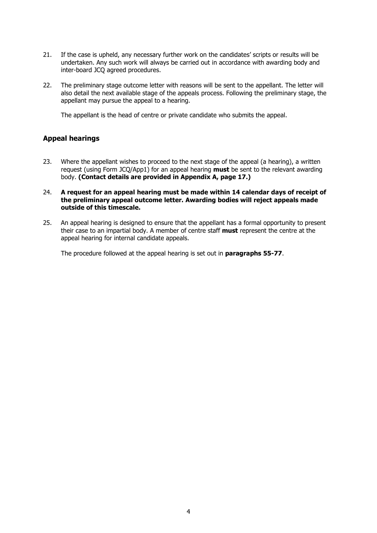- 21. If the case is upheld, any necessary further work on the candidates' scripts or results will be undertaken. Any such work will always be carried out in accordance with awarding body and inter-board JCQ agreed procedures.
- 22. The preliminary stage outcome letter with reasons will be sent to the appellant. The letter will also detail the next available stage of the appeals process. Following the preliminary stage, the appellant may pursue the appeal to a hearing.

The appellant is the head of centre or private candidate who submits the appeal.

#### **Appeal hearings**

- 23. Where the appellant wishes to proceed to the next stage of the appeal (a hearing), a written request (using Form JCQ/App1) for an appeal hearing **must** be sent to the relevant awarding body. **(Contact details are provided in Appendix A, page 17.)**
- 24. **A request for an appeal hearing must be made within 14 calendar days of receipt of the preliminary appeal outcome letter. Awarding bodies will reject appeals made outside of this timescale.**
- 25. An appeal hearing is designed to ensure that the appellant has a formal opportunity to present their case to an impartial body. A member of centre staff **must** represent the centre at the appeal hearing for internal candidate appeals.

The procedure followed at the appeal hearing is set out in **paragraphs 55-77**.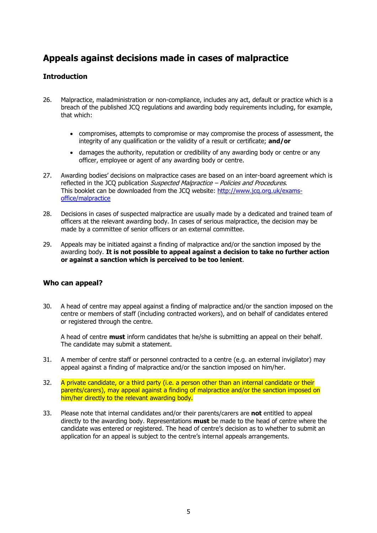# **Appeals against decisions made in cases of malpractice**

#### **Introduction**

- 26. Malpractice, maladministration or non-compliance, includes any act, default or practice which is a breach of the published JCQ regulations and awarding body requirements including, for example, that which:
	- compromises, attempts to compromise or may compromise the process of assessment, the integrity of any qualification or the validity of a result or certificate; **and/or**
	- damages the authority, reputation or credibility of any awarding body or centre or any officer, employee or agent of any awarding body or centre.
- 27. Awarding bodies' decisions on malpractice cases are based on an inter-board agreement which is reflected in the JCQ publication Suspected Malpractice – Policies and Procedures. This booklet can be downloaded from the JCQ website: [http://www.jcq.org.uk/exams](http://www.jcq.org.uk/exams-office/malpractice)[office/malpractice](http://www.jcq.org.uk/exams-office/malpractice)
- 28. Decisions in cases of suspected malpractice are usually made by a dedicated and trained team of officers at the relevant awarding body. In cases of serious malpractice, the decision may be made by a committee of senior officers or an external committee.
- 29. Appeals may be initiated against a finding of malpractice and/or the sanction imposed by the awarding body. **It is not possible to appeal against a decision to take no further action or against a sanction which is perceived to be too lenient**.

#### **Who can appeal?**

30. A head of centre may appeal against a finding of malpractice and/or the sanction imposed on the centre or members of staff (including contracted workers), and on behalf of candidates entered or registered through the centre.

A head of centre **must** inform candidates that he/she is submitting an appeal on their behalf. The candidate may submit a statement.

- 31. A member of centre staff or personnel contracted to a centre (e.g. an external invigilator) may appeal against a finding of malpractice and/or the sanction imposed on him/her.
- 32. A private candidate, or a third party (i.e. a person other than an internal candidate or their parents/carers), may appeal against a finding of malpractice and/or the sanction imposed on him/her directly to the relevant awarding body.
- 33. Please note that internal candidates and/or their parents/carers are **not** entitled to appeal directly to the awarding body. Representations **must** be made to the head of centre where the candidate was entered or registered. The head of centre's decision as to whether to submit an application for an appeal is subject to the centre's internal appeals arrangements.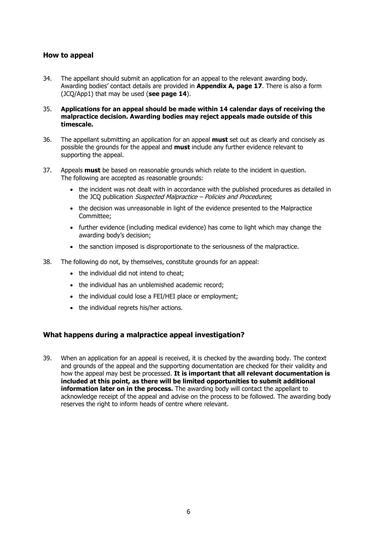#### **How to appeal**

34. The appellant should submit an application for an appeal to the relevant awarding body. Awarding bodies' contact details are provided in **Appendix A, page 17**. There is also a form (JCQ/App1) that may be used (**see page 14**).

#### 35. **Applications for an appeal should be made within 14 calendar days of receiving the malpractice decision. Awarding bodies may reject appeals made outside of this timescale.**

- 36. The appellant submitting an application for an appeal **must** set out as clearly and concisely as possible the grounds for the appeal and **must** include any further evidence relevant to supporting the appeal.
- 37. Appeals **must** be based on reasonable grounds which relate to the incident in question. The following are accepted as reasonable grounds:
	- the incident was not dealt with in accordance with the published procedures as detailed in the JCQ publication *Suspected Malpractice – Policies and Procedures*;
	- the decision was unreasonable in light of the evidence presented to the Malpractice Committee;
	- further evidence (including medical evidence) has come to light which may change the awarding body's decision;
	- the sanction imposed is disproportionate to the seriousness of the malpractice.
- 38. The following do not, by themselves, constitute grounds for an appeal:
	- the individual did not intend to cheat;
	- the individual has an unblemished academic record;
	- the individual could lose a FEI/HEI place or employment:
	- the individual regrets his/her actions.

#### **What happens during a malpractice appeal investigation?**

39. When an application for an appeal is received, it is checked by the awarding body. The context and grounds of the appeal and the supporting documentation are checked for their validity and how the appeal may best be processed. **It is important that all relevant documentation is included at this point, as there will be limited opportunities to submit additional information later on in the process.** The awarding body will contact the appellant to acknowledge receipt of the appeal and advise on the process to be followed. The awarding body reserves the right to inform heads of centre where relevant.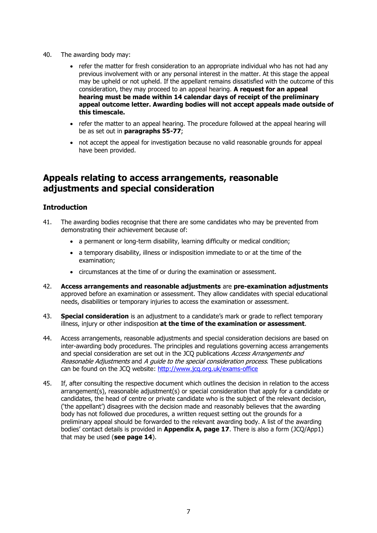- 40. The awarding body may:
	- refer the matter for fresh consideration to an appropriate individual who has not had any previous involvement with or any personal interest in the matter. At this stage the appeal may be upheld or not upheld. If the appellant remains dissatisfied with the outcome of this consideration, they may proceed to an appeal hearing. **A request for an appeal hearing must be made within 14 calendar days of receipt of the preliminary appeal outcome letter. Awarding bodies will not accept appeals made outside of this timescale.**
	- refer the matter to an appeal hearing. The procedure followed at the appeal hearing will be as set out in **paragraphs 55-77**;
	- not accept the appeal for investigation because no valid reasonable grounds for appeal have been provided.

# **Appeals relating to access arrangements, reasonable adjustments and special consideration**

#### **Introduction**

- 41. The awarding bodies recognise that there are some candidates who may be prevented from demonstrating their achievement because of:
	- a permanent or long-term disability, learning difficulty or medical condition;
	- a temporary disability, illness or indisposition immediate to or at the time of the examination;
	- circumstances at the time of or during the examination or assessment.
- 42. **Access arrangements and reasonable adjustments** are **pre-examination adjustments** approved before an examination or assessment. They allow candidates with special educational needs, disabilities or temporary injuries to access the examination or assessment.
- 43. **Special consideration** is an adjustment to a candidate's mark or grade to reflect temporary illness, injury or other indisposition **at the time of the examination or assessment**.
- 44. Access arrangements, reasonable adjustments and special consideration decisions are based on inter-awarding body procedures. The principles and regulations governing access arrangements and special consideration are set out in the JCQ publications Access Arrangements and Reasonable Adjustments and A guide to the special consideration process. These publications can be found on the JCQ website:<http://www.jcq.org.uk/exams-office>
- 45. If, after consulting the respective document which outlines the decision in relation to the access arrangement(s), reasonable adjustment(s) or special consideration that apply for a candidate or candidates, the head of centre or private candidate who is the subject of the relevant decision, ('the appellant') disagrees with the decision made and reasonably believes that the awarding body has not followed due procedures, a written request setting out the grounds for a preliminary appeal should be forwarded to the relevant awarding body. A list of the awarding bodies' contact details is provided in **Appendix A, page 17**. There is also a form (JCQ/App1) that may be used (**see page 14**).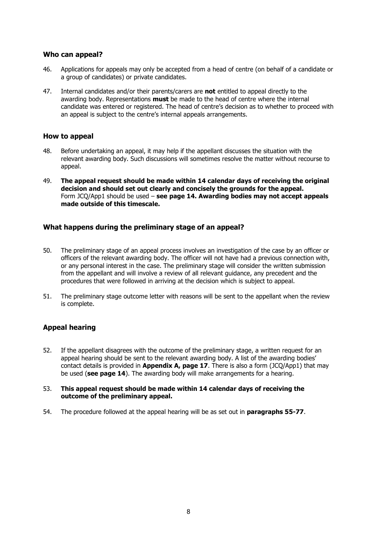#### **Who can appeal?**

- 46. Applications for appeals may only be accepted from a head of centre (on behalf of a candidate or a group of candidates) or private candidates.
- 47. Internal candidates and/or their parents/carers are **not** entitled to appeal directly to the awarding body. Representations **must** be made to the head of centre where the internal candidate was entered or registered. The head of centre's decision as to whether to proceed with an appeal is subject to the centre's internal appeals arrangements.

#### **How to appeal**

- 48. Before undertaking an appeal, it may help if the appellant discusses the situation with the relevant awarding body. Such discussions will sometimes resolve the matter without recourse to appeal.
- 49. **The appeal request should be made within 14 calendar days of receiving the original decision and should set out clearly and concisely the grounds for the appeal.** Form JCQ/App1 should be used – **see page 14. Awarding bodies may not accept appeals made outside of this timescale.**

#### **What happens during the preliminary stage of an appeal?**

- 50. The preliminary stage of an appeal process involves an investigation of the case by an officer or officers of the relevant awarding body. The officer will not have had a previous connection with, or any personal interest in the case. The preliminary stage will consider the written submission from the appellant and will involve a review of all relevant guidance, any precedent and the procedures that were followed in arriving at the decision which is subject to appeal.
- 51. The preliminary stage outcome letter with reasons will be sent to the appellant when the review is complete.

#### **Appeal hearing**

- 52. If the appellant disagrees with the outcome of the preliminary stage, a written request for an appeal hearing should be sent to the relevant awarding body. A list of the awarding bodies' contact details is provided in **Appendix A, page 17**. There is also a form (JCQ/App1) that may be used (**see page 14**). The awarding body will make arrangements for a hearing.
- 53. **This appeal request should be made within 14 calendar days of receiving the outcome of the preliminary appeal.**
- 54. The procedure followed at the appeal hearing will be as set out in **paragraphs 55-77**.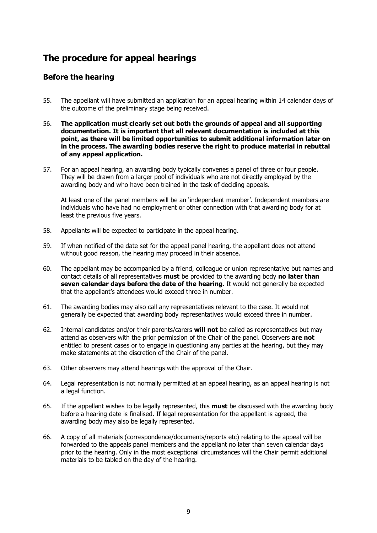# **The procedure for appeal hearings**

### **Before the hearing**

- 55. The appellant will have submitted an application for an appeal hearing within 14 calendar days of the outcome of the preliminary stage being received.
- 56. **The application must clearly set out both the grounds of appeal and all supporting documentation. It is important that all relevant documentation is included at this point, as there will be limited opportunities to submit additional information later on in the process. The awarding bodies reserve the right to produce material in rebuttal of any appeal application.**
- 57. For an appeal hearing, an awarding body typically convenes a panel of three or four people. They will be drawn from a larger pool of individuals who are not directly employed by the awarding body and who have been trained in the task of deciding appeals.

At least one of the panel members will be an 'independent member'. Independent members are individuals who have had no employment or other connection with that awarding body for at least the previous five years.

- 58. Appellants will be expected to participate in the appeal hearing.
- 59. If when notified of the date set for the appeal panel hearing, the appellant does not attend without good reason, the hearing may proceed in their absence.
- 60. The appellant may be accompanied by a friend, colleague or union representative but names and contact details of all representatives **must** be provided to the awarding body **no later than seven calendar days before the date of the hearing**. It would not generally be expected that the appellant's attendees would exceed three in number.
- 61. The awarding bodies may also call any representatives relevant to the case. It would not generally be expected that awarding body representatives would exceed three in number.
- 62. Internal candidates and/or their parents/carers **will not** be called as representatives but may attend as observers with the prior permission of the Chair of the panel. Observers **are not** entitled to present cases or to engage in questioning any parties at the hearing, but they may make statements at the discretion of the Chair of the panel.
- 63. Other observers may attend hearings with the approval of the Chair.
- 64. Legal representation is not normally permitted at an appeal hearing, as an appeal hearing is not a legal function.
- 65. If the appellant wishes to be legally represented, this **must** be discussed with the awarding body before a hearing date is finalised. If legal representation for the appellant is agreed, the awarding body may also be legally represented.
- 66. A copy of all materials (correspondence/documents/reports etc) relating to the appeal will be forwarded to the appeals panel members and the appellant no later than seven calendar days prior to the hearing. Only in the most exceptional circumstances will the Chair permit additional materials to be tabled on the day of the hearing.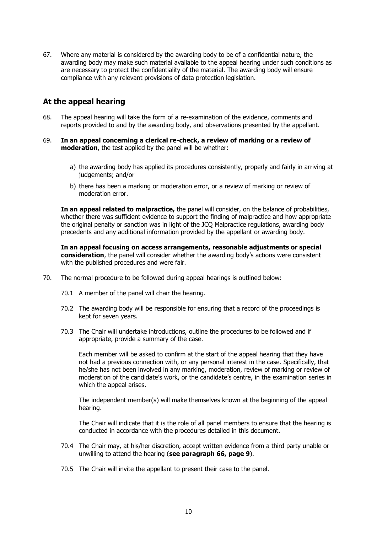67. Where any material is considered by the awarding body to be of a confidential nature, the awarding body may make such material available to the appeal hearing under such conditions as are necessary to protect the confidentiality of the material. The awarding body will ensure compliance with any relevant provisions of data protection legislation.

### **At the appeal hearing**

- 68. The appeal hearing will take the form of a re-examination of the evidence, comments and reports provided to and by the awarding body, and observations presented by the appellant.
- 69. **In an appeal concerning a clerical re-check, a review of marking or a review of moderation**, the test applied by the panel will be whether:
	- a) the awarding body has applied its procedures consistently, properly and fairly in arriving at judgements; and/or
	- b) there has been a marking or moderation error, or a review of marking or review of moderation error.

**In an appeal related to malpractice,** the panel will consider, on the balance of probabilities, whether there was sufficient evidence to support the finding of malpractice and how appropriate the original penalty or sanction was in light of the JCQ Malpractice regulations, awarding body precedents and any additional information provided by the appellant or awarding body.

**In an appeal focusing on access arrangements, reasonable adjustments or special consideration**, the panel will consider whether the awarding body's actions were consistent with the published procedures and were fair.

- 70. The normal procedure to be followed during appeal hearings is outlined below:
	- 70.1 A member of the panel will chair the hearing.
	- 70.2 The awarding body will be responsible for ensuring that a record of the proceedings is kept for seven years.
	- 70.3 The Chair will undertake introductions, outline the procedures to be followed and if appropriate, provide a summary of the case.

Each member will be asked to confirm at the start of the appeal hearing that they have not had a previous connection with, or any personal interest in the case. Specifically, that he/she has not been involved in any marking, moderation, review of marking or review of moderation of the candidate's work, or the candidate's centre, in the examination series in which the appeal arises.

The independent member(s) will make themselves known at the beginning of the appeal hearing.

The Chair will indicate that it is the role of all panel members to ensure that the hearing is conducted in accordance with the procedures detailed in this document.

- 70.4 The Chair may, at his/her discretion, accept written evidence from a third party unable or unwilling to attend the hearing (**see paragraph 66, page 9**).
- 70.5 The Chair will invite the appellant to present their case to the panel.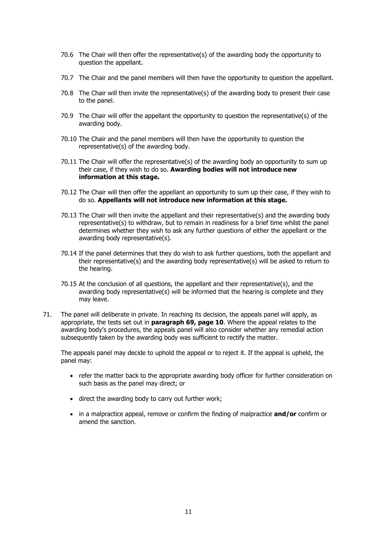- 70.6 The Chair will then offer the representative(s) of the awarding body the opportunity to question the appellant.
- 70.7 The Chair and the panel members will then have the opportunity to question the appellant.
- 70.8 The Chair will then invite the representative(s) of the awarding body to present their case to the panel.
- 70.9 The Chair will offer the appellant the opportunity to question the representative(s) of the awarding body.
- 70.10 The Chair and the panel members will then have the opportunity to question the representative(s) of the awarding body.
- 70.11 The Chair will offer the representative(s) of the awarding body an opportunity to sum up their case, if they wish to do so. **Awarding bodies will not introduce new information at this stage.**
- 70.12 The Chair will then offer the appellant an opportunity to sum up their case, if they wish to do so. **Appellants will not introduce new information at this stage.**
- 70.13 The Chair will then invite the appellant and their representative(s) and the awarding body representative(s) to withdraw, but to remain in readiness for a brief time whilst the panel determines whether they wish to ask any further questions of either the appellant or the awarding body representative(s).
- 70.14 If the panel determines that they do wish to ask further questions, both the appellant and their representative(s) and the awarding body representative(s) will be asked to return to the hearing.
- 70.15 At the conclusion of all questions, the appellant and their representative(s), and the awarding body representative(s) will be informed that the hearing is complete and they may leave.
- 71. The panel will deliberate in private. In reaching its decision, the appeals panel will apply, as appropriate, the tests set out in **paragraph 69, page 10**. Where the appeal relates to the awarding body's procedures, the appeals panel will also consider whether any remedial action subsequently taken by the awarding body was sufficient to rectify the matter.

The appeals panel may decide to uphold the appeal or to reject it. If the appeal is upheld, the panel may:

- refer the matter back to the appropriate awarding body officer for further consideration on such basis as the panel may direct; or
- direct the awarding body to carry out further work;
- in a malpractice appeal, remove or confirm the finding of malpractice **and/or** confirm or amend the sanction.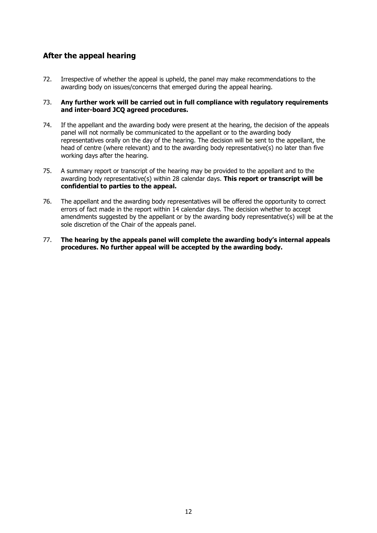## **After the appeal hearing**

72. Irrespective of whether the appeal is upheld, the panel may make recommendations to the awarding body on issues/concerns that emerged during the appeal hearing.

#### 73. **Any further work will be carried out in full compliance with regulatory requirements and inter-board JCQ agreed procedures.**

- 74. If the appellant and the awarding body were present at the hearing, the decision of the appeals panel will not normally be communicated to the appellant or to the awarding body representatives orally on the day of the hearing. The decision will be sent to the appellant, the head of centre (where relevant) and to the awarding body representative(s) no later than five working days after the hearing.
- 75. A summary report or transcript of the hearing may be provided to the appellant and to the awarding body representative(s) within 28 calendar days. **This report or transcript will be confidential to parties to the appeal.**
- 76. The appellant and the awarding body representatives will be offered the opportunity to correct errors of fact made in the report within 14 calendar days. The decision whether to accept amendments suggested by the appellant or by the awarding body representative(s) will be at the sole discretion of the Chair of the appeals panel.
- 77. **The hearing by the appeals panel will complete the awarding body's internal appeals procedures. No further appeal will be accepted by the awarding body.**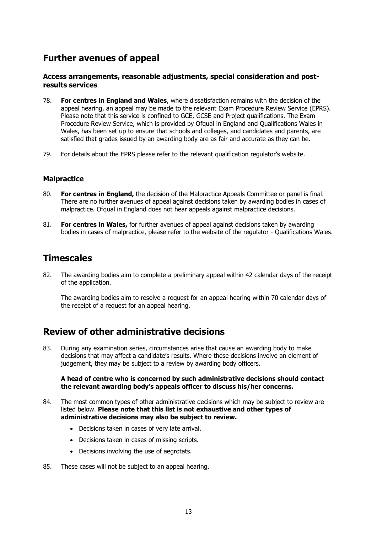# **Further avenues of appeal**

#### **Access arrangements, reasonable adjustments, special consideration and postresults services**

- 78. **For centres in England and Wales**, where dissatisfaction remains with the decision of the appeal hearing, an appeal may be made to the relevant Exam Procedure Review Service (EPRS). Please note that this service is confined to GCE, GCSE and Project qualifications. The Exam Procedure Review Service, which is provided by Ofqual in England and Qualifications Wales in Wales, has been set up to ensure that schools and colleges, and candidates and parents, are satisfied that grades issued by an awarding body are as fair and accurate as they can be.
- 79. For details about the EPRS please refer to the relevant qualification regulator's website.

#### **Malpractice**

- 80. **For centres in England,** the decision of the Malpractice Appeals Committee or panel is final. There are no further avenues of appeal against decisions taken by awarding bodies in cases of malpractice. Ofqual in England does not hear appeals against malpractice decisions.
- 81. **For centres in Wales,** for further avenues of appeal against decisions taken by awarding bodies in cases of malpractice, please refer to the website of the regulator - Qualifications Wales.

# **Timescales**

82. The awarding bodies aim to complete a preliminary appeal within 42 calendar days of the receipt of the application.

The awarding bodies aim to resolve a request for an appeal hearing within 70 calendar days of the receipt of a request for an appeal hearing.

# **Review of other administrative decisions**

83. During any examination series, circumstances arise that cause an awarding body to make decisions that may affect a candidate's results. Where these decisions involve an element of judgement, they may be subject to a review by awarding body officers.

#### **A head of centre who is concerned by such administrative decisions should contact the relevant awarding body's appeals officer to discuss his/her concerns.**

- 84. The most common types of other administrative decisions which may be subject to review are listed below. **Please note that this list is not exhaustive and other types of administrative decisions may also be subject to review.**
	- Decisions taken in cases of very late arrival.
	- Decisions taken in cases of missing scripts.
	- Decisions involving the use of aegrotats.
- 85. These cases will not be subject to an appeal hearing.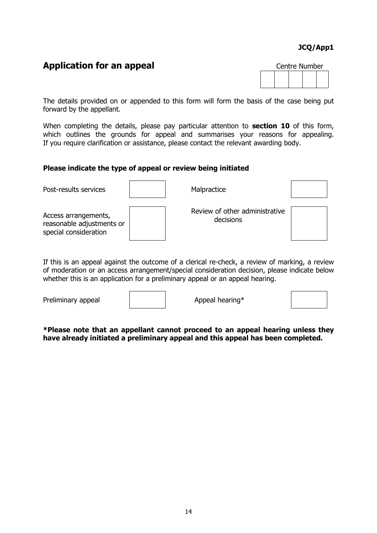### **JCQ/App1**

# **Application for an appeal**

| Centre Number |  |  |  |  |
|---------------|--|--|--|--|
|               |  |  |  |  |

The details provided on or appended to this form will form the basis of the case being put forward by the appellant.

When completing the details, please pay particular attention to **section 10** of this form, which outlines the grounds for appeal and summarises your reasons for appealing. If you require clarification or assistance, please contact the relevant awarding body.

#### **Please indicate the type of appeal or review being initiated**

| Post-results services                                                      | Malpractice                                 |  |
|----------------------------------------------------------------------------|---------------------------------------------|--|
| Access arrangements,<br>reasonable adjustments or<br>special consideration | Review of other administrative<br>decisions |  |

If this is an appeal against the outcome of a clerical re-check, a review of marking, a review of moderation or an access arrangement/special consideration decision, please indicate below whether this is an application for a preliminary appeal or an appeal hearing.

Preliminary appeal Appeal Appeal hearing\*

**\*Please note that an appellant cannot proceed to an appeal hearing unless they have already initiated a preliminary appeal and this appeal has been completed.**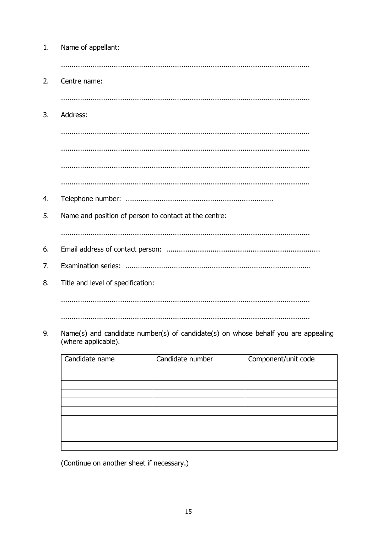| 1. | Name of appellant:                                                                                       |
|----|----------------------------------------------------------------------------------------------------------|
|    |                                                                                                          |
| 2. | Centre name:                                                                                             |
|    |                                                                                                          |
| 3. | Address:                                                                                                 |
|    |                                                                                                          |
|    |                                                                                                          |
|    |                                                                                                          |
|    |                                                                                                          |
| 4. |                                                                                                          |
| 5. | Name and position of person to contact at the centre:                                                    |
|    |                                                                                                          |
| 6. |                                                                                                          |
| 7. |                                                                                                          |
| 8. | Title and level of specification:                                                                        |
|    |                                                                                                          |
|    |                                                                                                          |
| 9. | Name(s) and candidate number(s) of candidate(s) on whose behalf you are appealing<br>(where applicable). |

| Candidate name | Candidate number | Component/unit code |
|----------------|------------------|---------------------|
|                |                  |                     |
|                |                  |                     |
|                |                  |                     |
|                |                  |                     |
|                |                  |                     |
|                |                  |                     |
|                |                  |                     |
|                |                  |                     |
|                |                  |                     |
|                |                  |                     |

(Continue on another sheet if necessary.)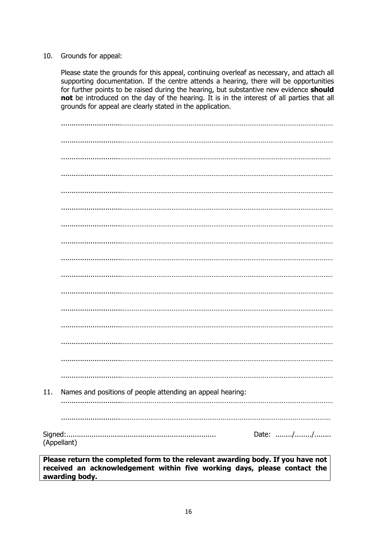#### 10. Grounds for appeal:

Please state the grounds for this appeal, continuing overleaf as necessary, and attach all supporting documentation. If the centre attends a hearing, there will be opportunities for further points to be raised during the hearing, but substantive new evidence **should not** be introduced on the day of the hearing. It is in the interest of all parties that all grounds for appeal are clearly stated in the application.

| 11.      | Names and positions of people attending an appeal hearing: |          |  |
|----------|------------------------------------------------------------|----------|--|
|          |                                                            |          |  |
| Signed:. | (Appellant)                                                | Date: // |  |
|          |                                                            |          |  |

**Please return the completed form to the relevant awarding body. If you have not received an acknowledgement within five working days, please contact the awarding body.**